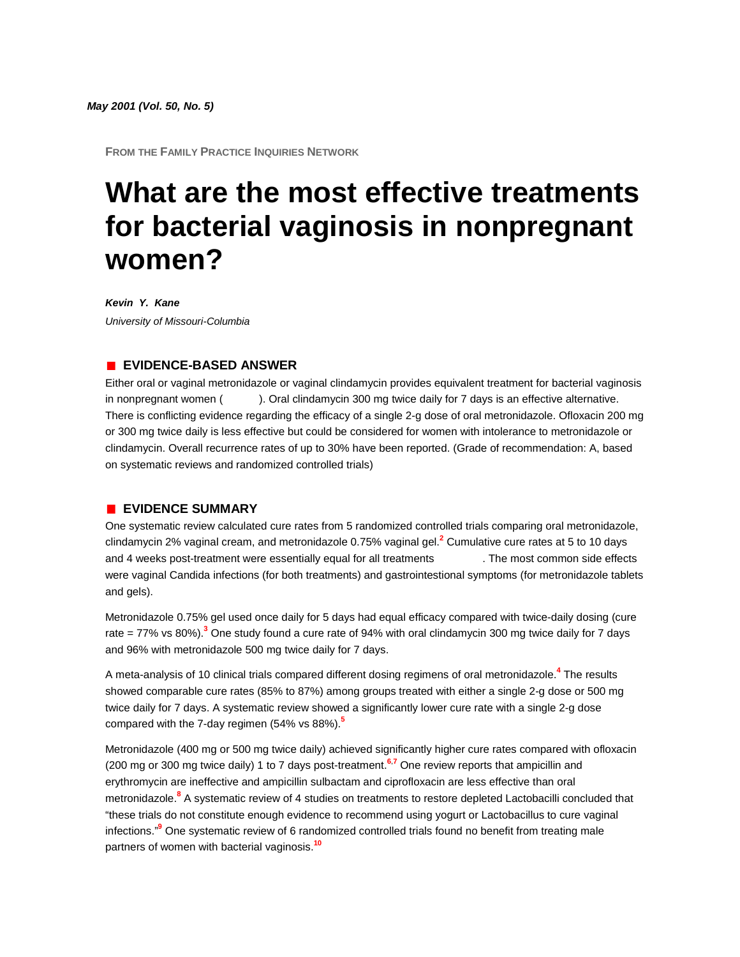**FROM THE FAMILY PRACTICE INQUIRIES NETWORK**

# **What are the most effective treatments for bacterial vaginosis in nonpregnant women?**

*Kevin Y. Kane University of Missouri-Columbia*

## **EVIDENCE-BASED ANSWER**

Either oral or vaginal metronidazole or vaginal clindamycin provides equivalent treatment for bacterial vaginosis in nonpregnant women (**TABL**). Oral clindamycin 300 mg twice daily for 7 days is an effective alternative. There is conflicting evidence regarding the efficacy of a single 2-g dose of oral metronidazole. Ofloxacin 200 mg or 300 mg twice daily is less effective but could be considered for women with intolerance to metronidazole or clindamycin. Overall recurrence rates of up to 30% have been reported. (Grade of recommendation: A, based on systematic reviews and randomized controlled trials)

#### **EVIDENCE SUMMARY**

One systematic review calculated cure rates from 5 randomized controlled trials comparing oral metronidazole, clindamycin 2% vaginal cream, and metronidazole 0.75% vaginal ge[l.](http://www.jfponline.com/Pages.asp?AID=2224&issue=May_2001&UID=#bib2)**<sup>2</sup>** Cumulative cure rates at 5 to 10 days and 4 weeks post-treatment were essentially equal for all treatments The most common side effects were vaginal Candida infections (for both treatments) and gastrointestional symptoms (for metronidazole tablets and gels).

Metronidazole 0.75% gel used once daily for 5 days had equal efficacy compared with twice-daily dosing (cure rate = 77% vs 80%[\).](http://www.jfponline.com/Pages.asp?AID=2224&issue=May_2001&UID=#bib3)**<sup>3</sup>** One study found a cure rate of 94% with oral clindamycin 300 mg twice daily for 7 days and 96% with metronidazole 500 mg twice daily for 7 days.

A meta-analysis of 10 clinical trials compared different dosing regimens of oral metronidazol[e.](http://www.jfponline.com/Pages.asp?AID=2224&issue=May_2001&UID=#bib4)**<sup>4</sup>** The results showed comparable cure rates (85% to 87%) among groups treated with either a single 2-g dose or 500 mg twice daily for 7 days. A systematic review showed a significantly lower cure rate with a single 2-g dose compared with the 7-day regimen (54% vs 88%[\).](http://www.jfponline.com/Pages.asp?AID=2224&issue=May_2001&UID=#bib5)**<sup>5</sup>**

Metronidazole (400 mg or 500 mg twice daily) achieved significantly higher cure rates compared with ofloxacin (200 mg or 300 mg twice daily) 1 to 7 days post-treatmen[t.](http://www.jfponline.com/Pages.asp?AID=2224&issue=May_2001&UID=#bib6)**<sup>6</sup>**,**[7](http://www.jfponline.com/Pages.asp?AID=2224&issue=May_2001&UID=#bib7)** One review reports that ampicillin and erythromycin are ineffective and ampicillin sulbactam and ciprofloxacin are less effective than oral metronidazole.**[8](http://www.jfponline.com/Pages.asp?AID=2224&issue=May_2001&UID=#bib8)** A systematic review of 4 studies on treatments to restore depleted Lactobacilli concluded that "these trials do not constitute enough evidence to recommend using yogurt or Lactobacillus to cure vaginal infections.["](http://www.jfponline.com/Pages.asp?AID=2224&issue=May_2001&UID=#bib9)**<sup>9</sup>** One systematic review of 6 randomized controlled trials found no benefit from treating male partners of women with bacterial vaginosis.**[10](http://www.jfponline.com/Pages.asp?AID=2224&issue=May_2001&UID=#bib10)**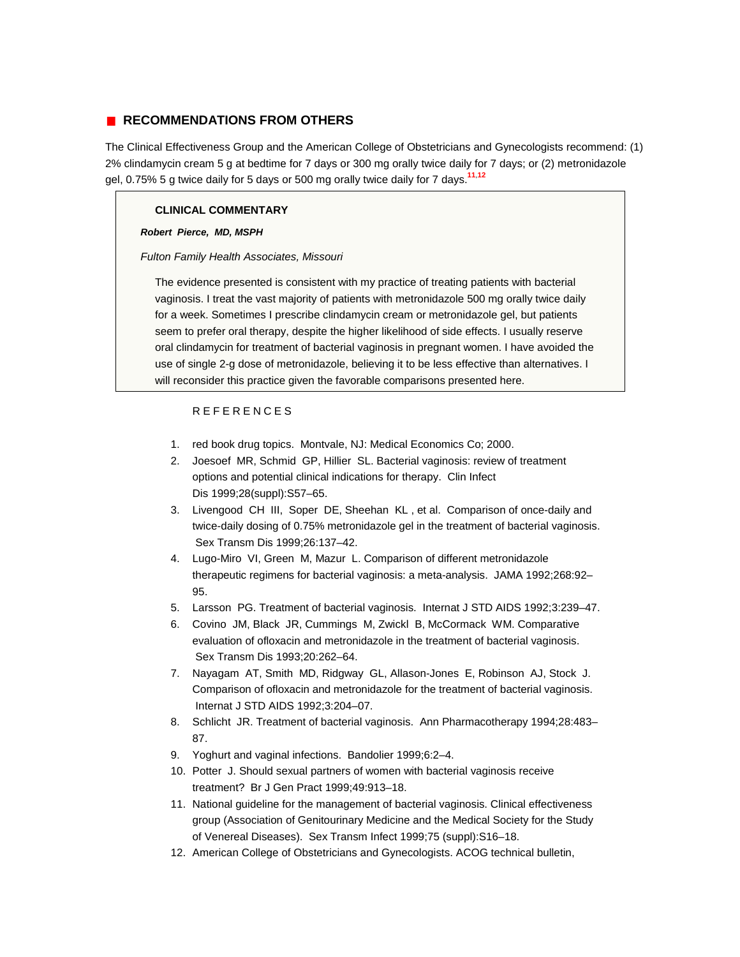## **RECOMMENDATIONS FROM OTHERS**

The Clinical Effectiveness Group and the American College of Obstetricians and Gynecologists recommend: (1) 2% clindamycin cream 5 g at bedtime for 7 days or 300 mg orally twice daily for 7 days; or (2) metronidazole gel, 0.75% 5 g twice daily for 5 days or 500 mg orally twice daily for 7 days.**[11](http://www.jfponline.com/Pages.asp?AID=2224&issue=May_2001&UID=#bib11)**,**[12](http://www.jfponline.com/Pages.asp?AID=2224&issue=May_2001&UID=#bib12)**

### **CLINICAL COMMENTARY**

#### *Robert Pierce, MD, MSPH*

#### *Fulton Family Health Associates, Missouri*

The evidence presented is consistent with my practice of treating patients with bacterial vaginosis. I treat the vast majority of patients with metronidazole 500 mg orally twice daily for a week. Sometimes I prescribe clindamycin cream or metronidazole gel, but patients seem to prefer oral therapy, despite the higher likelihood of side effects. I usually reserve oral clindamycin for treatment of bacterial vaginosis in pregnant women. I have avoided the use of single 2-g dose of metronidazole, believing it to be less effective than alternatives. I will reconsider this practice given the favorable comparisons presented here.

## REFERENCES

- 1. red book drug topics. Montvale, NJ: Medical Economics Co; 2000.
- 2. Joesoef MR, Schmid GP, Hillier SL. Bacterial vaginosis: review of treatment options and potential clinical indications for therapy. Clin Infect Dis 1999;28(suppl):S57–65.
- 3. Livengood CH III, Soper DE, Sheehan KL , et al. Comparison of once-daily and twice-daily dosing of 0.75% metronidazole gel in the treatment of bacterial vaginosis. Sex Transm Dis 1999;26:137–42.
- 4. Lugo-Miro VI, Green M, Mazur L. Comparison of different metronidazole therapeutic regimens for bacterial vaginosis: a meta-analysis. JAMA 1992;268:92– 95.
- 5. Larsson PG. Treatment of bacterial vaginosis. Internat J STD AIDS 1992;3:239–47.
- 6. Covino JM, Black JR, Cummings M, Zwickl B, McCormack WM. Comparative evaluation of ofloxacin and metronidazole in the treatment of bacterial vaginosis. Sex Transm Dis 1993;20:262–64.
- 7. Nayagam AT, Smith MD, Ridgway GL, Allason-Jones E, Robinson AJ, Stock J. Comparison of ofloxacin and metronidazole for the treatment of bacterial vaginosis. Internat J STD AIDS 1992;3:204–07.
- 8. Schlicht JR. Treatment of bacterial vaginosis. Ann Pharmacotherapy 1994;28:483– 87.
- 9. Yoghurt and vaginal infections. Bandolier 1999;6:2–4.
- 10. Potter J. Should sexual partners of women with bacterial vaginosis receive treatment? Br J Gen Pract 1999;49:913–18.
- 11. National guideline for the management of bacterial vaginosis. Clinical effectiveness group (Association of Genitourinary Medicine and the Medical Society for the Study of Venereal Diseases). Sex Transm Infect 1999;75 (suppl):S16–18.
- 12. American College of Obstetricians and Gynecologists. ACOG technical bulletin,